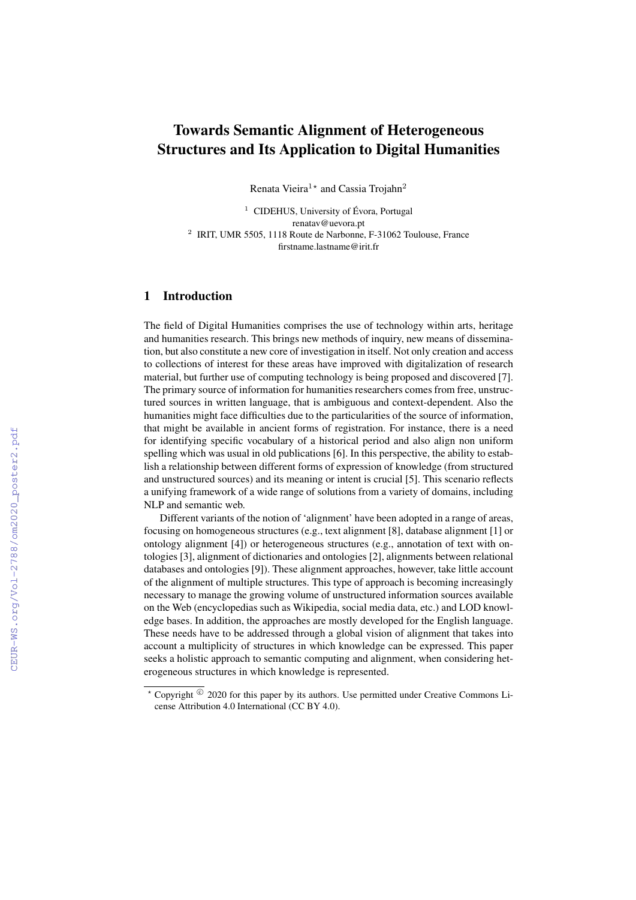## Towards Semantic Alignment of Heterogeneous Structures and Its Application to Digital Humanities

Renata Vieira<sup>1\*</sup> and Cassia Trojahn<sup>2</sup>

 $1$  CIDEHUS, University of Évora, Portugal renatav@uevora.pt <sup>2</sup> IRIT, UMR 5505, 1118 Route de Narbonne, F-31062 Toulouse, France firstname.lastname@irit.fr

## 1 Introduction

The field of Digital Humanities comprises the use of technology within arts, heritage and humanities research. This brings new methods of inquiry, new means of dissemination, but also constitute a new core of investigation in itself. Not only creation and access to collections of interest for these areas have improved with digitalization of research material, but further use of computing technology is being proposed and discovered [7]. The primary source of information for humanities researchers comes from free, unstructured sources in written language, that is ambiguous and context-dependent. Also the humanities might face difficulties due to the particularities of the source of information, that might be available in ancient forms of registration. For instance, there is a need for identifying specific vocabulary of a historical period and also align non uniform spelling which was usual in old publications [6]. In this perspective, the ability to establish a relationship between different forms of expression of knowledge (from structured and unstructured sources) and its meaning or intent is crucial [5]. This scenario reflects a unifying framework of a wide range of solutions from a variety of domains, including NLP and semantic web.

Different variants of the notion of 'alignment' have been adopted in a range of areas, focusing on homogeneous structures (e.g., text alignment [8], database alignment [1] or ontology alignment [4]) or heterogeneous structures (e.g., annotation of text with ontologies [3], alignment of dictionaries and ontologies [2], alignments between relational databases and ontologies [9]). These alignment approaches, however, take little account of the alignment of multiple structures. This type of approach is becoming increasingly necessary to manage the growing volume of unstructured information sources available on the Web (encyclopedias such as Wikipedia, social media data, etc.) and LOD knowledge bases. In addition, the approaches are mostly developed for the English language. These needs have to be addressed through a global vision of alignment that takes into account a multiplicity of structures in which knowledge can be expressed. This paper seeks a holistic approach to semantic computing and alignment, when considering heterogeneous structures in which knowledge is represented.

 $*$  Copyright  $^{\circledcirc}$  2020 for this paper by its authors. Use permitted under Creative Commons License Attribution 4.0 International (CC BY 4.0).